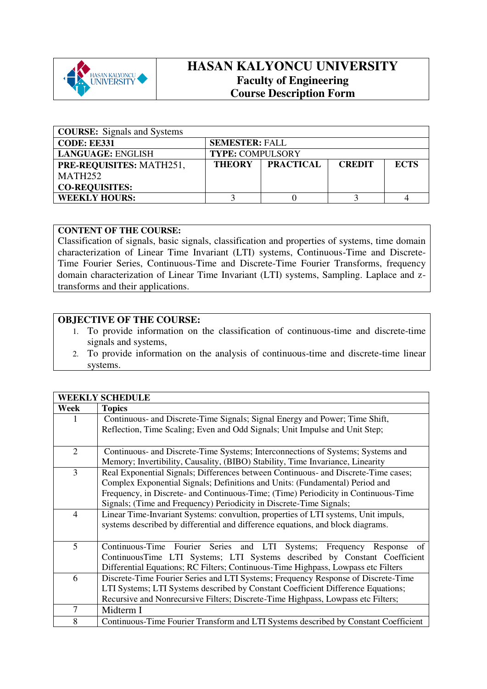

## **HASAN KALYONCU UNIVERSITY Faculty of Engineering Course Description Form**

| <b>COURSE:</b> Signals and Systems |                                                                   |  |  |  |  |  |
|------------------------------------|-------------------------------------------------------------------|--|--|--|--|--|
| <b>CODE: EE331</b>                 | <b>SEMESTER: FALL</b>                                             |  |  |  |  |  |
| <b>LANGUAGE: ENGLISH</b>           | <b>TYPE: COMPULSORY</b>                                           |  |  |  |  |  |
| <b>PRE-REQUISITES: MATH251,</b>    | <b>PRACTICAL</b><br><b>THEORY</b><br><b>CREDIT</b><br><b>ECTS</b> |  |  |  |  |  |
| MATH <sub>252</sub>                |                                                                   |  |  |  |  |  |
| <b>CO-REQUISITES:</b>              |                                                                   |  |  |  |  |  |
| <b>WEEKLY HOURS:</b>               |                                                                   |  |  |  |  |  |

## **CONTENT OF THE COURSE:**

Classification of signals, basic signals, classification and properties of systems, time domain characterization of Linear Time Invariant (LTI) systems, Continuous-Time and Discrete-Time Fourier Series, Continuous-Time and Discrete-Time Fourier Transforms, frequency domain characterization of Linear Time Invariant (LTI) systems, Sampling. Laplace and ztransforms and their applications.

## **OBJECTIVE OF THE COURSE:**

- 1. To provide information on the classification of continuous-time and discrete-time signals and systems,
- 2. To provide information on the analysis of continuous-time and discrete-time linear systems.

|                | <b>WEEKLY SCHEDULE</b>                                                              |  |  |  |
|----------------|-------------------------------------------------------------------------------------|--|--|--|
| Week           | <b>Topics</b>                                                                       |  |  |  |
| 1              | Continuous- and Discrete-Time Signals; Signal Energy and Power; Time Shift,         |  |  |  |
|                | Reflection, Time Scaling; Even and Odd Signals; Unit Impulse and Unit Step;         |  |  |  |
|                |                                                                                     |  |  |  |
| $\overline{2}$ | Continuous- and Discrete-Time Systems; Interconnections of Systems; Systems and     |  |  |  |
|                | Memory; Invertibility, Causality, (BIBO) Stability, Time Invariance, Linearity      |  |  |  |
| $\overline{3}$ | Real Exponential Signals; Differences between Continuous- and Discrete-Time cases;  |  |  |  |
|                | Complex Exponential Signals; Definitions and Units: (Fundamental) Period and        |  |  |  |
|                | Frequency, in Discrete- and Continuous-Time; (Time) Periodicity in Continuous-Time  |  |  |  |
|                | Signals; (Time and Frequency) Periodicity in Discrete-Time Signals;                 |  |  |  |
| $\overline{4}$ | Linear Time-Invariant Systems: convultion, properties of LTI systems, Unit impuls,  |  |  |  |
|                | systems described by differential and difference equations, and block diagrams.     |  |  |  |
|                |                                                                                     |  |  |  |
| 5              | Continuous-Time Fourier Series and LTI Systems; Frequency<br>of<br>Response         |  |  |  |
|                | ContinuousTime LTI Systems; LTI Systems described by Constant Coefficient           |  |  |  |
|                | Differential Equations; RC Filters; Continuous-Time Highpass, Lowpass etc Filters   |  |  |  |
| 6              | Discrete-Time Fourier Series and LTI Systems; Frequency Response of Discrete-Time   |  |  |  |
|                | LTI Systems; LTI Systems described by Constant Coefficient Difference Equations;    |  |  |  |
|                | Recursive and Nonrecursive Filters; Discrete-Time Highpass, Lowpass etc Filters;    |  |  |  |
| 7              | Midterm I                                                                           |  |  |  |
| 8              | Continuous-Time Fourier Transform and LTI Systems described by Constant Coefficient |  |  |  |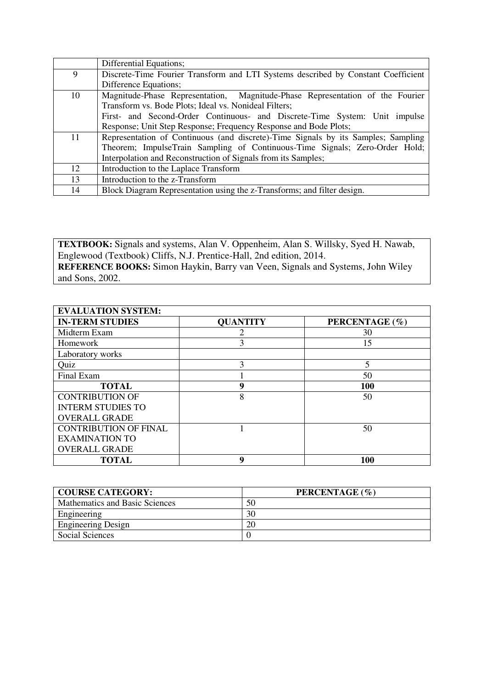|    | Differential Equations;                                                           |
|----|-----------------------------------------------------------------------------------|
| 9  | Discrete-Time Fourier Transform and LTI Systems described by Constant Coefficient |
|    | Difference Equations;                                                             |
| 10 | Magnitude-Phase Representation, Magnitude-Phase Representation of the Fourier     |
|    | Transform vs. Bode Plots; Ideal vs. Nonideal Filters;                             |
|    | First- and Second-Order Continuous- and Discrete-Time System: Unit impulse        |
|    | Response; Unit Step Response; Frequency Response and Bode Plots;                  |
| 11 | Representation of Continuous (and discrete)-Time Signals by its Samples; Sampling |
|    | Theorem; ImpulseTrain Sampling of Continuous-Time Signals; Zero-Order Hold;       |
|    | Interpolation and Reconstruction of Signals from its Samples;                     |
| 12 | Introduction to the Laplace Transform                                             |
| 13 | Introduction to the z-Transform                                                   |
| 14 | Block Diagram Representation using the z-Transforms; and filter design.           |

**TEXTBOOK:** Signals and systems, Alan V. Oppenheim, Alan S. Willsky, Syed H. Nawab, Englewood (Textbook) Cliffs, N.J. Prentice-Hall, 2nd edition, 2014. **REFERENCE BOOKS:** Simon Haykin, Barry van Veen, Signals and Systems, John Wiley and Sons, 2002.

| <b>EVALUATION SYSTEM:</b>    |                 |                         |  |  |  |
|------------------------------|-----------------|-------------------------|--|--|--|
| <b>IN-TERM STUDIES</b>       | <b>QUANTITY</b> | PERCENTAGE (%)          |  |  |  |
| Midterm Exam                 |                 | 30                      |  |  |  |
| Homework                     | 3               | 15                      |  |  |  |
| Laboratory works             |                 |                         |  |  |  |
| Quiz                         | 3               | $\overline{\mathbf{5}}$ |  |  |  |
| Final Exam                   |                 | 50                      |  |  |  |
| <b>TOTAL</b>                 | 9               | <b>100</b>              |  |  |  |
| <b>CONTRIBUTION OF</b>       | 8               | 50                      |  |  |  |
| <b>INTERM STUDIES TO</b>     |                 |                         |  |  |  |
| <b>OVERALL GRADE</b>         |                 |                         |  |  |  |
| <b>CONTRIBUTION OF FINAL</b> |                 | 50                      |  |  |  |
| <b>EXAMINATION TO</b>        |                 |                         |  |  |  |
| <b>OVERALL GRADE</b>         |                 |                         |  |  |  |
| <b>TOTAL</b>                 | q               | <b>100</b>              |  |  |  |

| <b>COURSE CATEGORY:</b>        | PERCENTAGE (%) |
|--------------------------------|----------------|
| Mathematics and Basic Sciences | 50             |
| Engineering                    | 30             |
| <b>Engineering Design</b>      | 20             |
| Social Sciences                |                |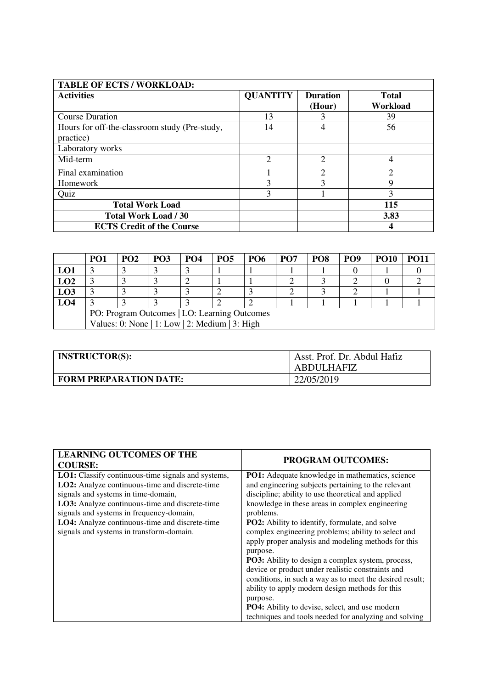| <b>TABLE OF ECTS / WORKLOAD:</b>                           |                 |                             |                   |
|------------------------------------------------------------|-----------------|-----------------------------|-------------------|
| <b>Activities</b>                                          | <b>QUANTITY</b> | <b>Duration</b><br>(Hour)   | Total<br>Workload |
| <b>Course Duration</b>                                     | 13              |                             | 39                |
| Hours for off-the-classroom study (Pre-study,<br>practice) | 14              |                             | 56                |
| Laboratory works                                           |                 |                             |                   |
| Mid-term                                                   | 2               | $\mathcal{D}_{\mathcal{L}}$ | 4                 |
| Final examination                                          |                 | $\mathcal{D}$               | C                 |
| Homework                                                   | 3               | 3                           | 9                 |
| Quiz                                                       | 3               |                             | 3                 |
| <b>Total Work Load</b>                                     |                 |                             | 115               |
| <b>Total Work Load / 30</b>                                |                 |                             | 3.83              |
| <b>ECTS Credit of the Course</b>                           |                 |                             |                   |

|                                                | PO <sub>1</sub> | <b>PO2</b> | <b>PO3</b> | PO <sub>4</sub> | PO <sub>5</sub> | <b>PO6</b> | PO <sub>7</sub> | PO <sub>8</sub> | PO <sub>9</sub> | <b>PO10</b> | PO11 |
|------------------------------------------------|-----------------|------------|------------|-----------------|-----------------|------------|-----------------|-----------------|-----------------|-------------|------|
| LO1                                            |                 |            |            |                 |                 |            |                 |                 |                 |             |      |
| LO2                                            |                 |            |            |                 |                 |            |                 |                 |                 |             |      |
| L <sub>03</sub>                                |                 |            |            |                 |                 |            |                 |                 |                 |             |      |
| LO <sub>4</sub>                                |                 |            |            |                 |                 |            |                 |                 |                 |             |      |
| PO: Program Outcomes   LO: Learning Outcomes   |                 |            |            |                 |                 |            |                 |                 |                 |             |      |
| Values: 0: None   1: Low   2: Medium   3: High |                 |            |            |                 |                 |            |                 |                 |                 |             |      |

| <b>INSTRUCTOR(S):</b>         | Asst. Prof. Dr. Abdul Hafiz<br>ABDULHAFIZ |
|-------------------------------|-------------------------------------------|
| <b>FORM PREPARATION DATE:</b> | 22/05/2019                                |

| <b>LEARNING OUTCOMES OF THE</b><br><b>COURSE:</b>         | <b>PROGRAM OUTCOMES:</b>                                 |
|-----------------------------------------------------------|----------------------------------------------------------|
| <b>LO1:</b> Classify continuous-time signals and systems, | <b>PO1:</b> Adequate knowledge in mathematics, science   |
| LO2: Analyze continuous-time and discrete-time            | and engineering subjects pertaining to the relevant      |
| signals and systems in time-domain,                       | discipline; ability to use theoretical and applied       |
| LO3: Analyze continuous-time and discrete-time            | knowledge in these areas in complex engineering          |
| signals and systems in frequency-domain,                  | problems.                                                |
| LO4: Analyze continuous-time and discrete-time            | <b>PO2:</b> Ability to identify, formulate, and solve    |
| signals and systems in transform-domain.                  | complex engineering problems; ability to select and      |
|                                                           | apply proper analysis and modeling methods for this      |
|                                                           | purpose.                                                 |
|                                                           | <b>PO3:</b> Ability to design a complex system, process, |
|                                                           | device or product under realistic constraints and        |
|                                                           | conditions, in such a way as to meet the desired result; |
|                                                           | ability to apply modern design methods for this          |
|                                                           | purpose.                                                 |
|                                                           | <b>PO4:</b> Ability to devise, select, and use modern    |
|                                                           | techniques and tools needed for analyzing and solving    |